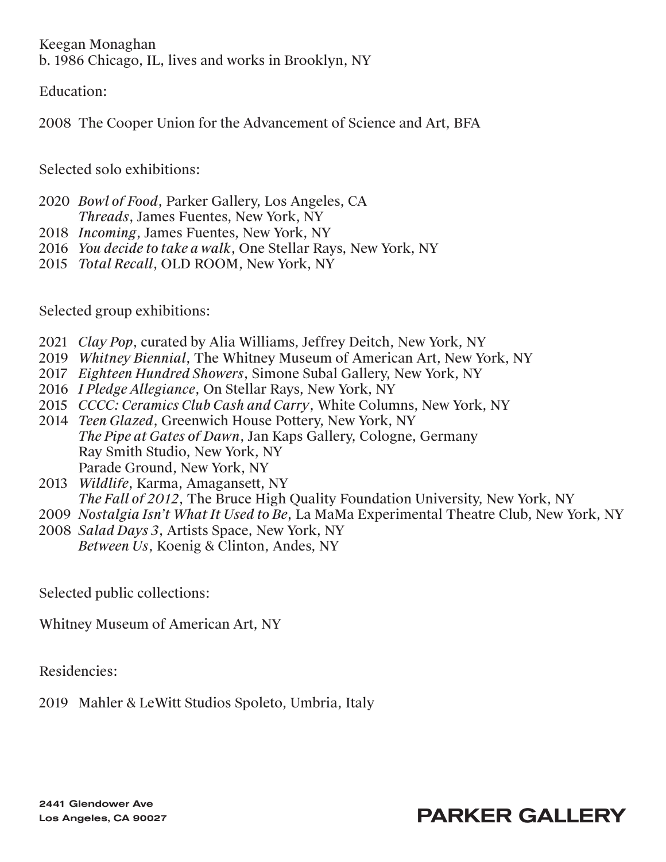Keegan Monaghan b. 1986 Chicago, IL, lives and works in Brooklyn, NY

Education:

2008 The Cooper Union for the Advancement of Science and Art, BFA

Selected solo exhibitions:

2020 *Bowl of Food*, Parker Gallery, Los Angeles, CA *Threads*, James Fuentes, New York, NY

- 2018 *Incoming*, James Fuentes, New York, NY
- 2016 *You decide to take a walk*, One Stellar Rays, New York, NY
- 2015 *Total Recall*, OLD ROOM, New York, NY

Selected group exhibitions:

- 2021 *Clay Pop*, curated by Alia Williams, Jeffrey Deitch, New York, NY
- 2019 *Whitney Biennial*, The Whitney Museum of American Art, New York, NY
- 2017 *Eighteen Hundred Showers*, Simone Subal Gallery, New York, NY
- 2016 *I Pledge Allegiance*, On Stellar Rays, New York, NY
- 2015 *CCCC: Ceramics Club Cash and Carry*, White Columns, New York, NY
- 2014 *Teen Glazed*, Greenwich House Pottery, New York, NY *The Pipe at Gates of Dawn*, Jan Kaps Gallery, Cologne, Germany Ray Smith Studio, New York, NY Parade Ground, New York, NY
- 2013 *Wildlife*, Karma, Amagansett, NY *The Fall of 2012*, The Bruce High Quality Foundation University, New York, NY
- 2009 *Nostalgia Isn't What It Used to Be*, La MaMa Experimental Theatre Club, New York, NY
- 2008 *Salad Days 3*, Artists Space, New York, NY *Between Us*, Koenig & Clinton, Andes, NY

Selected public collections:

Whitney Museum of American Art, NY

Residencies:

2019 Mahler & LeWitt Studios Spoleto, Umbria, Italy

2441 Glendower Ave Los Angeles, CA 90027

## PARKER GALLERY